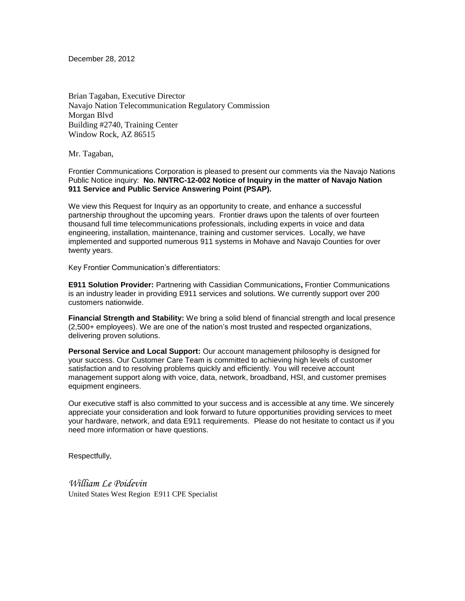December 28, 2012

Brian Tagaban, Executive Director Navajo Nation Telecommunication Regulatory Commission Morgan Blvd Building #2740, Training Center Window Rock, AZ 86515

Mr. Tagaban,

Frontier Communications Corporation is pleased to present our comments via the Navajo Nations Public Notice inquiry: **No. NNTRC-12-002 Notice of Inquiry in the matter of Navajo Nation 911 Service and Public Service Answering Point (PSAP).**

We view this Request for Inquiry as an opportunity to create, and enhance a successful partnership throughout the upcoming years. Frontier draws upon the talents of over fourteen thousand full time telecommunications professionals, including experts in voice and data engineering, installation, maintenance, training and customer services. Locally, we have implemented and supported numerous 911 systems in Mohave and Navajo Counties for over twenty years.

Key Frontier Communication's differentiators:

**E911 Solution Provider:** Partnering with Cassidian Communications**,** Frontier Communications is an industry leader in providing E911 services and solutions. We currently support over 200 customers nationwide.

**Financial Strength and Stability:** We bring a solid blend of financial strength and local presence (2,500+ employees). We are one of the nation's most trusted and respected organizations, delivering proven solutions.

**Personal Service and Local Support:** Our account management philosophy is designed for your success. Our Customer Care Team is committed to achieving high levels of customer satisfaction and to resolving problems quickly and efficiently. You will receive account management support along with voice, data, network, broadband, HSI, and customer premises equipment engineers.

Our executive staff is also committed to your success and is accessible at any time. We sincerely appreciate your consideration and look forward to future opportunities providing services to meet your hardware, network, and data E911 requirements. Please do not hesitate to contact us if you need more information or have questions.

Respectfully,

*William Le Poidevin*  United States West Region E911 CPE Specialist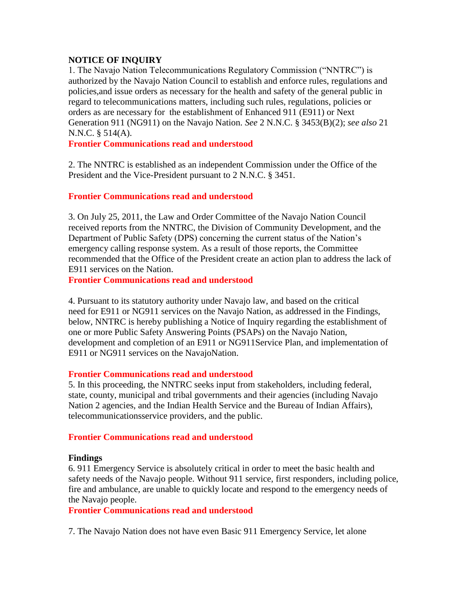# **NOTICE OF INQUIRY**

1. The Navajo Nation Telecommunications Regulatory Commission ("NNTRC") is authorized by the Navajo Nation Council to establish and enforce rules, regulations and policies,and issue orders as necessary for the health and safety of the general public in regard to telecommunications matters, including such rules, regulations, policies or orders as are necessary for the establishment of Enhanced 911 (E911) or Next Generation 911 (NG911) on the Navajo Nation. *See* 2 N.N.C. § 3453(B)(2); *see also* 21 N.N.C. § 514(A).

**Frontier Communications read and understood**

2. The NNTRC is established as an independent Commission under the Office of the President and the Vice-President pursuant to 2 N.N.C. § 3451.

# **Frontier Communications read and understood**

3. On July 25, 2011, the Law and Order Committee of the Navajo Nation Council received reports from the NNTRC, the Division of Community Development, and the Department of Public Safety (DPS) concerning the current status of the Nation's emergency calling response system. As a result of those reports, the Committee recommended that the Office of the President create an action plan to address the lack of E911 services on the Nation.

**Frontier Communications read and understood**

4. Pursuant to its statutory authority under Navajo law, and based on the critical need for E911 or NG911 services on the Navajo Nation, as addressed in the Findings, below, NNTRC is hereby publishing a Notice of Inquiry regarding the establishment of one or more Public Safety Answering Points (PSAPs) on the Navajo Nation, development and completion of an E911 or NG911Service Plan, and implementation of E911 or NG911 services on the NavajoNation.

## **Frontier Communications read and understood**

5. In this proceeding, the NNTRC seeks input from stakeholders, including federal, state, county, municipal and tribal governments and their agencies (including Navajo Nation 2 agencies, and the Indian Health Service and the Bureau of Indian Affairs), telecommunicationsservice providers, and the public.

## **Frontier Communications read and understood**

#### **Findings**

6. 911 Emergency Service is absolutely critical in order to meet the basic health and safety needs of the Navajo people. Without 911 service, first responders, including police, fire and ambulance, are unable to quickly locate and respond to the emergency needs of the Navajo people.

#### **Frontier Communications read and understood**

7. The Navajo Nation does not have even Basic 911 Emergency Service, let alone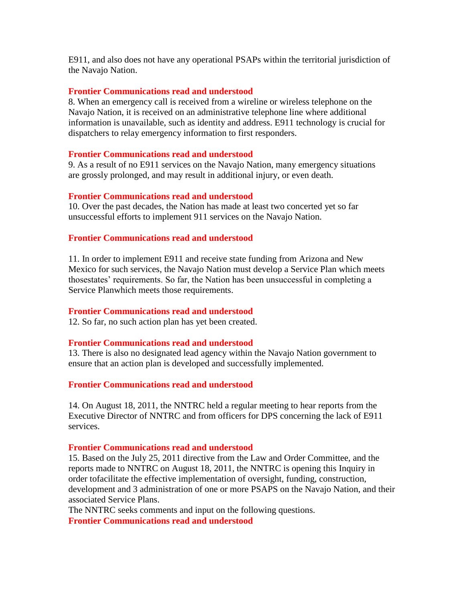E911, and also does not have any operational PSAPs within the territorial jurisdiction of the Navajo Nation.

### **Frontier Communications read and understood**

8. When an emergency call is received from a wireline or wireless telephone on the Navajo Nation, it is received on an administrative telephone line where additional information is unavailable, such as identity and address. E911 technology is crucial for dispatchers to relay emergency information to first responders.

#### **Frontier Communications read and understood**

9. As a result of no E911 services on the Navajo Nation, many emergency situations are grossly prolonged, and may result in additional injury, or even death.

### **Frontier Communications read and understood**

10. Over the past decades, the Nation has made at least two concerted yet so far unsuccessful efforts to implement 911 services on the Navajo Nation.

### **Frontier Communications read and understood**

11. In order to implement E911 and receive state funding from Arizona and New Mexico for such services, the Navajo Nation must develop a Service Plan which meets thosestates' requirements. So far, the Nation has been unsuccessful in completing a Service Planwhich meets those requirements.

## **Frontier Communications read and understood**

12. So far, no such action plan has yet been created.

## **Frontier Communications read and understood**

13. There is also no designated lead agency within the Navajo Nation government to ensure that an action plan is developed and successfully implemented.

#### **Frontier Communications read and understood**

14. On August 18, 2011, the NNTRC held a regular meeting to hear reports from the Executive Director of NNTRC and from officers for DPS concerning the lack of E911 services.

### **Frontier Communications read and understood**

15. Based on the July 25, 2011 directive from the Law and Order Committee, and the reports made to NNTRC on August 18, 2011, the NNTRC is opening this Inquiry in order tofacilitate the effective implementation of oversight, funding, construction, development and 3 administration of one or more PSAPS on the Navajo Nation, and their associated Service Plans.

The NNTRC seeks comments and input on the following questions. **Frontier Communications read and understood**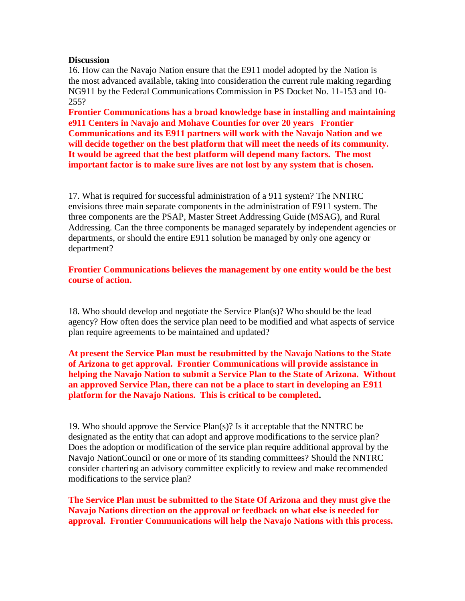### **Discussion**

16. How can the Navajo Nation ensure that the E911 model adopted by the Nation is the most advanced available, taking into consideration the current rule making regarding NG911 by the Federal Communications Commission in PS Docket No. 11-153 and 10- 255?

**Frontier Communications has a broad knowledge base in installing and maintaining e911 Centers in Navajo and Mohave Counties for over 20 years Frontier Communications and its E911 partners will work with the Navajo Nation and we will decide together on the best platform that will meet the needs of its community. It would be agreed that the best platform will depend many factors. The most important factor is to make sure lives are not lost by any system that is chosen.** 

17. What is required for successful administration of a 911 system? The NNTRC envisions three main separate components in the administration of E911 system. The three components are the PSAP, Master Street Addressing Guide (MSAG), and Rural Addressing. Can the three components be managed separately by independent agencies or departments, or should the entire E911 solution be managed by only one agency or department?

**Frontier Communications believes the management by one entity would be the best course of action.**

18. Who should develop and negotiate the Service Plan(s)? Who should be the lead agency? How often does the service plan need to be modified and what aspects of service plan require agreements to be maintained and updated?

**At present the Service Plan must be resubmitted by the Navajo Nations to the State of Arizona to get approval. Frontier Communications will provide assistance in helping the Navajo Nation to submit a Service Plan to the State of Arizona. Without an approved Service Plan, there can not be a place to start in developing an E911 platform for the Navajo Nations. This is critical to be completed.** 

19. Who should approve the Service Plan(s)? Is it acceptable that the NNTRC be designated as the entity that can adopt and approve modifications to the service plan? Does the adoption or modification of the service plan require additional approval by the Navajo NationCouncil or one or more of its standing committees? Should the NNTRC consider chartering an advisory committee explicitly to review and make recommended modifications to the service plan?

**The Service Plan must be submitted to the State Of Arizona and they must give the Navajo Nations direction on the approval or feedback on what else is needed for approval. Frontier Communications will help the Navajo Nations with this process.**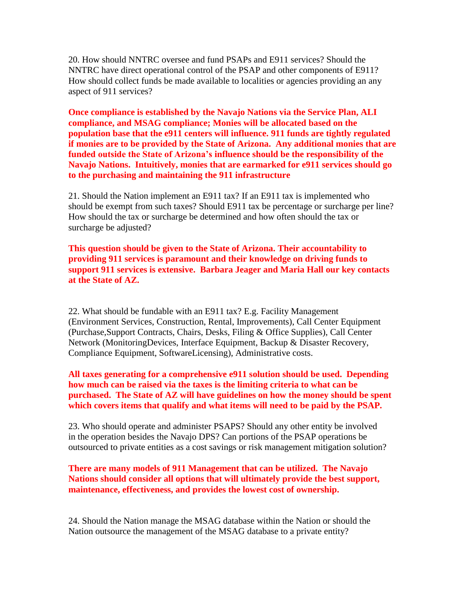20. How should NNTRC oversee and fund PSAPs and E911 services? Should the NNTRC have direct operational control of the PSAP and other components of E911? How should collect funds be made available to localities or agencies providing an any aspect of 911 services?

**Once compliance is established by the Navajo Nations via the Service Plan, ALI compliance, and MSAG compliance; Monies will be allocated based on the population base that the e911 centers will influence. 911 funds are tightly regulated if monies are to be provided by the State of Arizona. Any additional monies that are funded outside the State of Arizona's influence should be the responsibility of the Navajo Nations. Intuitively, monies that are earmarked for e911 services should go to the purchasing and maintaining the 911 infrastructure**

21. Should the Nation implement an E911 tax? If an E911 tax is implemented who should be exempt from such taxes? Should E911 tax be percentage or surcharge per line? How should the tax or surcharge be determined and how often should the tax or surcharge be adjusted?

**This question should be given to the State of Arizona. Their accountability to providing 911 services is paramount and their knowledge on driving funds to support 911 services is extensive. Barbara Jeager and Maria Hall our key contacts at the State of AZ.**

22. What should be fundable with an E911 tax? E.g. Facility Management (Environment Services, Construction, Rental, Improvements), Call Center Equipment (Purchase,Support Contracts, Chairs, Desks, Filing & Office Supplies), Call Center Network (MonitoringDevices, Interface Equipment, Backup & Disaster Recovery, Compliance Equipment, SoftwareLicensing), Administrative costs.

**All taxes generating for a comprehensive e911 solution should be used. Depending how much can be raised via the taxes is the limiting criteria to what can be purchased. The State of AZ will have guidelines on how the money should be spent which covers items that qualify and what items will need to be paid by the PSAP.**

23. Who should operate and administer PSAPS? Should any other entity be involved in the operation besides the Navajo DPS? Can portions of the PSAP operations be outsourced to private entities as a cost savings or risk management mitigation solution?

**There are many models of 911 Management that can be utilized. The Navajo Nations should consider all options that will ultimately provide the best support, maintenance, effectiveness, and provides the lowest cost of ownership.**

24. Should the Nation manage the MSAG database within the Nation or should the Nation outsource the management of the MSAG database to a private entity?